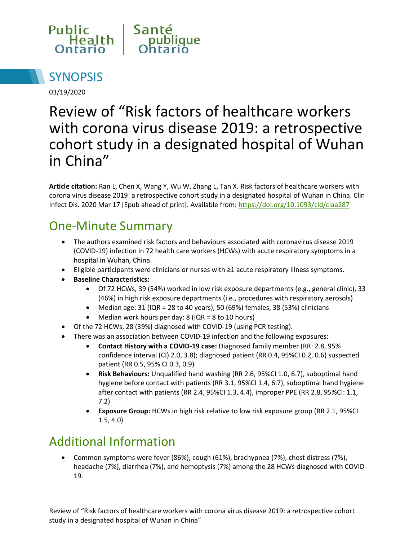



03/19/2020

# Review of "Risk factors of healthcare workers with corona virus disease 2019: a retrospective cohort study in a designated hospital of Wuhan in China"

**Article citation:** Ran L, Chen X, Wang Y, Wu W, Zhang L, Tan X. Risk factors of healthcare workers with corona virus disease 2019: a retrospective cohort study in a designated hospital of Wuhan in China. Clin Infect Dis. 2020 Mar 17 [Epub ahead of print]. Available from:<https://doi.org/10.1093/cid/ciaa287>

# One-Minute Summary

- The authors examined risk factors and behaviours associated with coronavirus disease 2019 (COVID-19) infection in 72 health care workers (HCWs) with acute respiratory symptoms in a hospital in Wuhan, China.
- Eligible participants were clinicians or nurses with ≥1 acute respiratory illness symptoms.
- **Baseline Characteristics:**
	- Of 72 HCWs, 39 (54%) worked in low risk exposure departments (e.g., general clinic), 33 (46%) in high risk exposure departments (i.e., procedures with respiratory aerosols)
	- Median age:  $31$  (IQR = 28 to 40 years), 50 (69%) females, 38 (53%) clinicians
	- Median work hours per day: 8 (IQR = 8 to 10 hours)
- Of the 72 HCWs, 28 (39%) diagnosed with COVID-19 (using PCR testing).
- There was an association between COVID-19 infection and the following exposures:
	- **Contact History with a COVID-19 case:** Diagnosed family member (RR: 2.8, 95% confidence interval (CI) 2.0, 3.8); diagnosed patient (RR 0.4, 95%CI 0.2, 0.6) suspected patient (RR 0.5, 95% CI 0.3, 0.9)
	- **Risk Behaviours:** Unqualified hand washing (RR 2.6, 95%CI 1.0, 6.7), suboptimal hand hygiene before contact with patients (RR 3.1, 95%CI 1.4, 6.7), suboptimal hand hygiene after contact with patients (RR 2.4, 95%CI 1.3, 4.4), improper PPE (RR 2.8, 95%CI: 1.1, 7.2)
	- **Exposure Group:** HCWs in high risk relative to low risk exposure group (RR 2.1, 95%CI 1.5, 4.0)

### Additional Information

 Common symptoms were fever (86%), cough (61%), brachypnea (7%), chest distress (7%), headache (7%), diarrhea (7%), and hemoptysis (7%) among the 28 HCWs diagnosed with COVID-19.